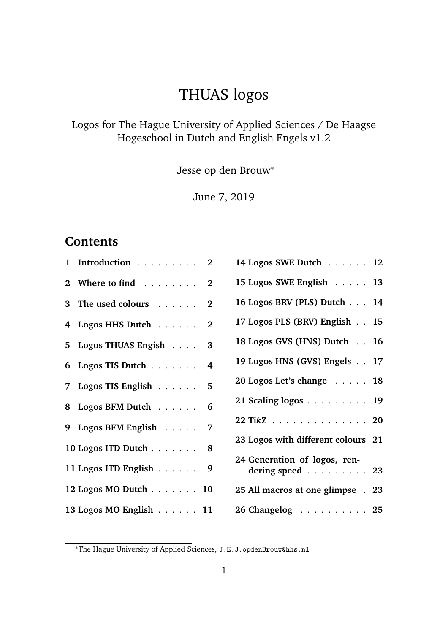## THUAS logos

#### Logos for The Hague University of Applied Sciences / De Haagse Hogeschool in Dutch and English Engels v1.2

Jesse op den Brouw<sup>∗</sup>

June 7, 2019

#### **Contents**

| 1 Introduction                    | $\bf{2}$       | 1              |
|-----------------------------------|----------------|----------------|
| 2 Where to find $\ldots \ldots$ 2 |                | $\mathbf{1}$   |
| 3 The used colours                | $\bf{2}$       | $\mathbf{1}$   |
| 4 Logos HHS Dutch                 | $\bf{2}$       | $\mathbf{1}$   |
| 5 Logos THUAS Engish              | 3              | $\mathbf{1}$   |
| 6 Logos TIS Dutch $\ldots$        | $\overline{4}$ | $\mathbf{1}$   |
| 7 Logos TIS English               | 5              | $\overline{2}$ |
| 8 Logos BFM Dutch                 | 6              | $\overline{2}$ |
| 9 Logos BFM English               | 7              | $\overline{2}$ |
| 10 Logos ITD Dutch                | 8              | $\overline{2}$ |
| 11 Logos ITD English              | 9              | $\overline{2}$ |
| 12 Logos MO Dutch 10              |                | $\overline{2}$ |
| 13 Logos MO English 11            |                | $\overline{2}$ |
|                                   |                |                |

| 14 Logos SWE Dutch 12                           |  |
|-------------------------------------------------|--|
| 15 Logos SWE English 13                         |  |
| 16 Logos BRV (PLS) Dutch 14                     |  |
| 17 Logos PLS (BRV) English 15                   |  |
| 18 Logos GVS (HNS) Dutch 16                     |  |
| 19 Logos HNS (GVS) Engels 17                    |  |
| 20 Logos Let's change $\ldots$ 18               |  |
| 21 Scaling logos $\ldots \ldots \ldots 19$      |  |
| 22 TikZ 20                                      |  |
| 23 Logos with different colours 21              |  |
| 24 Generation of logos, ren-<br>dering speed 23 |  |
| 25 All macros at one glimpse . 23               |  |
| 26 Changelog 25                                 |  |

<sup>∗</sup>The Hague University of Applied Sciences, J.E.J.opdenBrouw@hhs.nl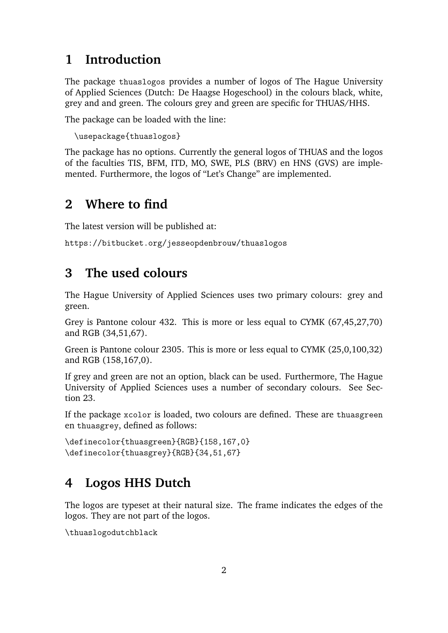#### **1 Introduction**

The package thuaslogos provides a number of logos of The Hague University of Applied Sciences (Dutch: De Haagse Hogeschool) in the colours black, white, grey and and green. The colours grey and green are specific for THUAS/HHS.

The package can be loaded with the line:

```
\usepackage{thuaslogos}
```
The package has no options. Currently the general logos of THUAS and the logos of the faculties TIS, BFM, ITD, MO, SWE, PLS (BRV) en HNS (GVS) are implemented. Furthermore, the logos of "Let's Change" are implemented.

#### **2 Where to find**

The latest version will be published at:

```
https://bitbucket.org/jesseopdenbrouw/thuaslogos
```
#### **3 The used colours**

The Hague University of Applied Sciences uses two primary colours: grey and green.

Grey is Pantone colour 432. This is more or less equal to CYMK (67,45,27,70) and RGB (34,51,67).

Green is Pantone colour 2305. This is more or less equal to CYMK (25,0,100,32) and RGB (158,167,0).

If grey and green are not an option, black can be used. Furthermore, The Hague University of Applied Sciences uses a number of secondary colours. See Section 23.

If the package xcolor is loaded, two colours are defined. These are thuasgreen en thuasgrey, defined as follows:

```
\definecolor{thuasgreen}{RGB}{158,167,0}
\definecolor{thuasgrey}{RGB}{34,51,67}
```
#### **4 Logos HHS Dutch**

The logos are typeset at their natural size. The frame indicates the edges of the logos. They are not part of the logos.

\thuaslogodutchblack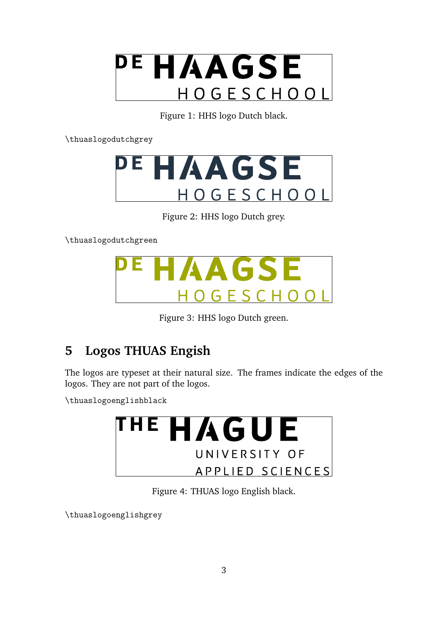

Figure 1: HHS logo Dutch black.

\thuaslogodutchgrey



Figure 2: HHS logo Dutch grey.

\thuaslogodutchgreen



Figure 3: HHS logo Dutch green.

#### **5 Logos THUAS Engish**

The logos are typeset at their natural size. The frames indicate the edges of the logos. They are not part of the logos.

\thuaslogoenglishblack



Figure 4: THUAS logo English black.

\thuaslogoenglishgrey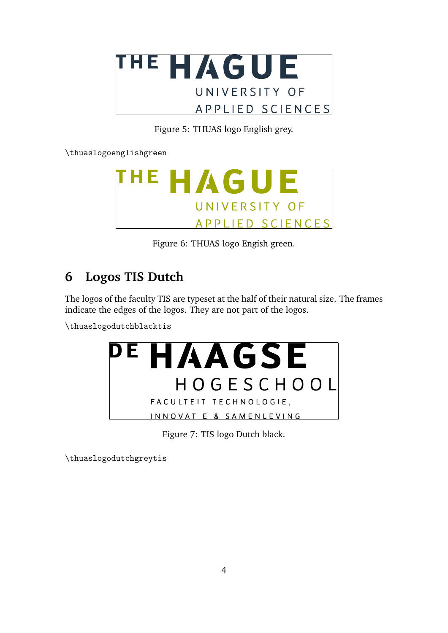

Figure 5: THUAS logo English grey.

\thuaslogoenglishgreen



Figure 6: THUAS logo Engish green.

#### **6 Logos TIS Dutch**

The logos of the faculty TIS are typeset at the half of their natural size. The frames indicate the edges of the logos. They are not part of the logos.

\thuaslogodutchblacktis



Figure 7: TIS logo Dutch black.

\thuaslogodutchgreytis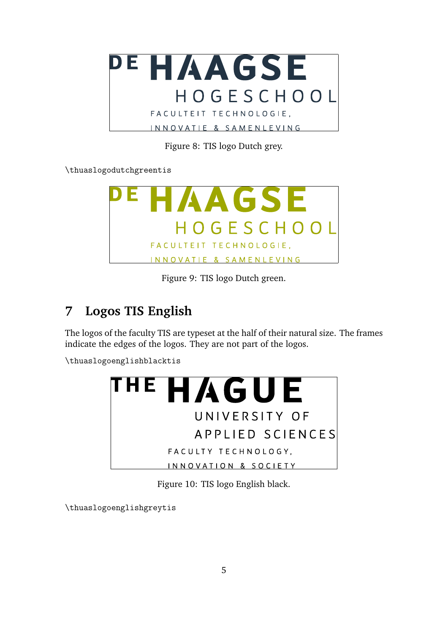

Figure 8: TIS logo Dutch grey.

\thuaslogodutchgreentis



Figure 9: TIS logo Dutch green.

#### **7 Logos TIS English**

The logos of the faculty TIS are typeset at the half of their natural size. The frames indicate the edges of the logos. They are not part of the logos.

\thuaslogoenglishblacktis



Figure 10: TIS logo English black.

\thuaslogoenglishgreytis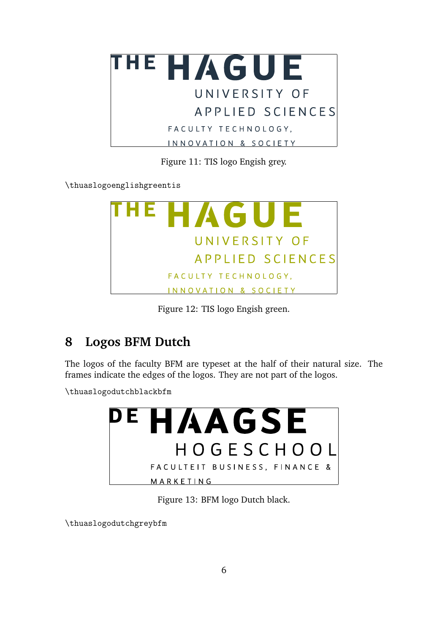

Figure 11: TIS logo Engish grey.

\thuaslogoenglishgreentis



Figure 12: TIS logo Engish green.

#### **8 Logos BFM Dutch**

The logos of the faculty BFM are typeset at the half of their natural size. The frames indicate the edges of the logos. They are not part of the logos.

\thuaslogodutchblackbfm



Figure 13: BFM logo Dutch black.

\thuaslogodutchgreybfm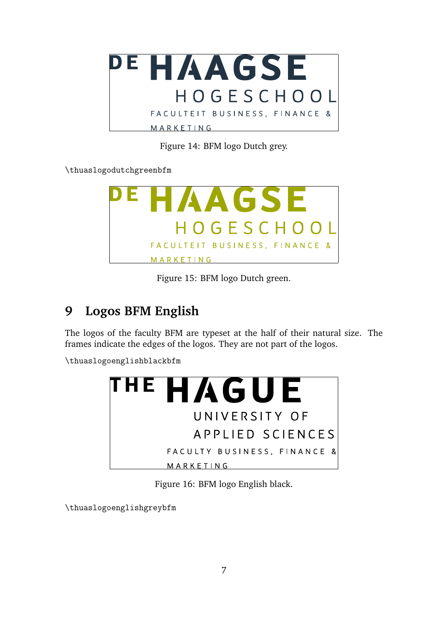

Figure 14: BFM logo Dutch grey.

\thuaslogodutchgreenbfm



Figure 15: BFM logo Dutch green.

#### **9 Logos BFM English**

The logos of the faculty BFM are typeset at the half of their natural size. The frames indicate the edges of the logos. They are not part of the logos.

\thuaslogoenglishblackbfm



Figure 16: BFM logo English black.

\thuaslogoenglishgreybfm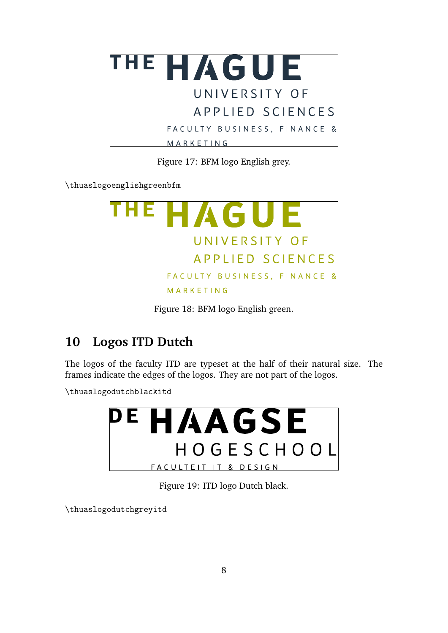

Figure 17: BFM logo English grey.

\thuaslogoenglishgreenbfm



Figure 18: BFM logo English green.

#### **10 Logos ITD Dutch**

The logos of the faculty ITD are typeset at the half of their natural size. The frames indicate the edges of the logos. They are not part of the logos.

\thuaslogodutchblackitd



Figure 19: ITD logo Dutch black.

\thuaslogodutchgreyitd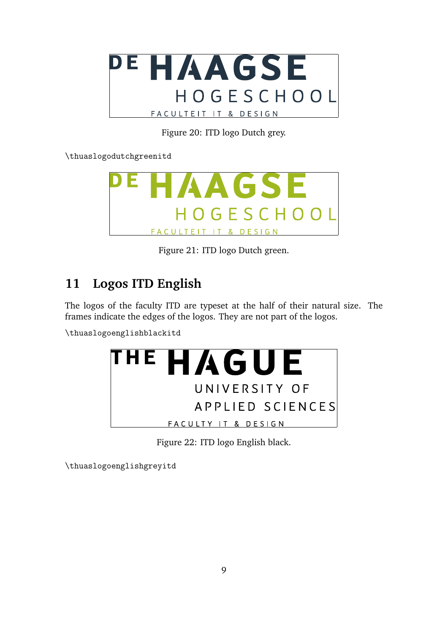

Figure 20: ITD logo Dutch grey.

\thuaslogodutchgreenitd



Figure 21: ITD logo Dutch green.

### **11 Logos ITD English**

The logos of the faculty ITD are typeset at the half of their natural size. The frames indicate the edges of the logos. They are not part of the logos.

\thuaslogoenglishblackitd



Figure 22: ITD logo English black.

\thuaslogoenglishgreyitd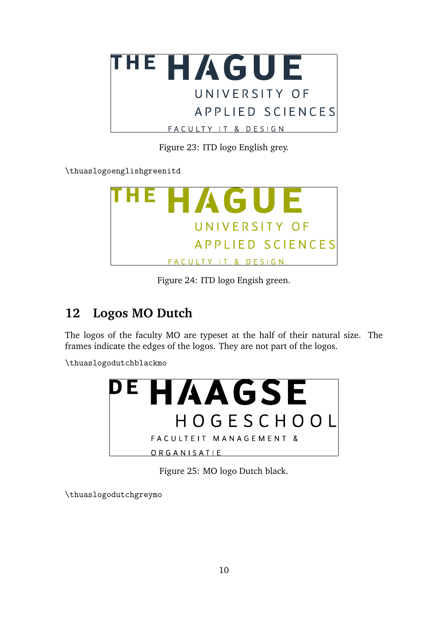

Figure 23: ITD logo English grey.

\thuaslogoenglishgreenitd



Figure 24: ITD logo Engish green.

#### **12 Logos MO Dutch**

The logos of the faculty MO are typeset at the half of their natural size. The frames indicate the edges of the logos. They are not part of the logos.

\thuaslogodutchblackmo



Figure 25: MO logo Dutch black.

\thuaslogodutchgreymo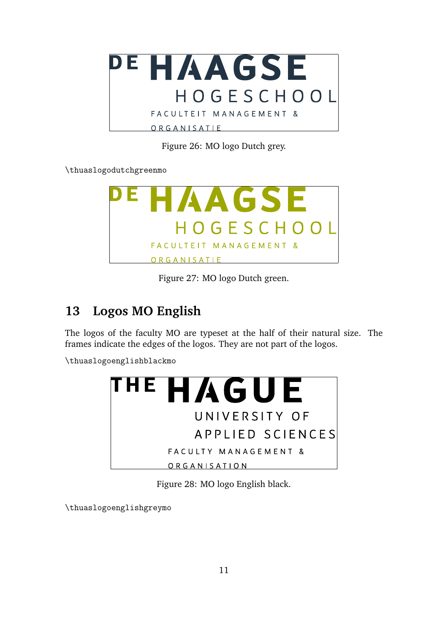

Figure 26: MO logo Dutch grey.

\thuaslogodutchgreenmo



Figure 27: MO logo Dutch green.

#### **13 Logos MO English**

The logos of the faculty MO are typeset at the half of their natural size. The frames indicate the edges of the logos. They are not part of the logos.

\thuaslogoenglishblackmo



Figure 28: MO logo English black.

\thuaslogoenglishgreymo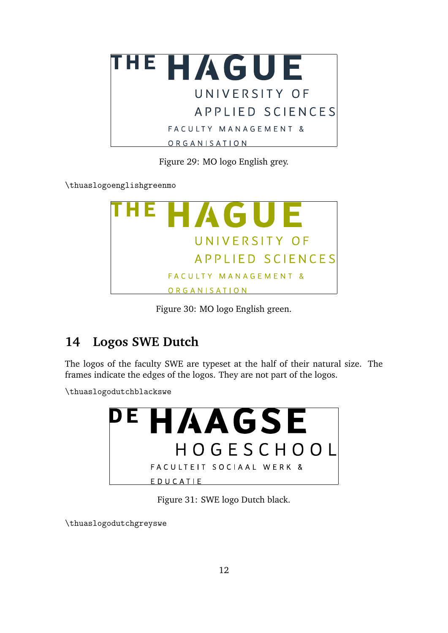

Figure 29: MO logo English grey.

\thuaslogoenglishgreenmo



Figure 30: MO logo English green.

#### **14 Logos SWE Dutch**

The logos of the faculty SWE are typeset at the half of their natural size. The frames indicate the edges of the logos. They are not part of the logos.

\thuaslogodutchblackswe



Figure 31: SWE logo Dutch black.

\thuaslogodutchgreyswe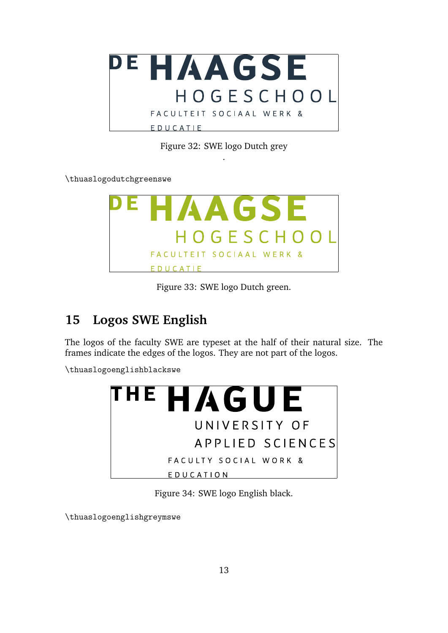

Figure 32: SWE logo Dutch grey .

\thuaslogodutchgreenswe



Figure 33: SWE logo Dutch green.

#### **15 Logos SWE English**

The logos of the faculty SWE are typeset at the half of their natural size. The frames indicate the edges of the logos. They are not part of the logos.

\thuaslogoenglishblackswe



Figure 34: SWE logo English black.

\thuaslogoenglishgreymswe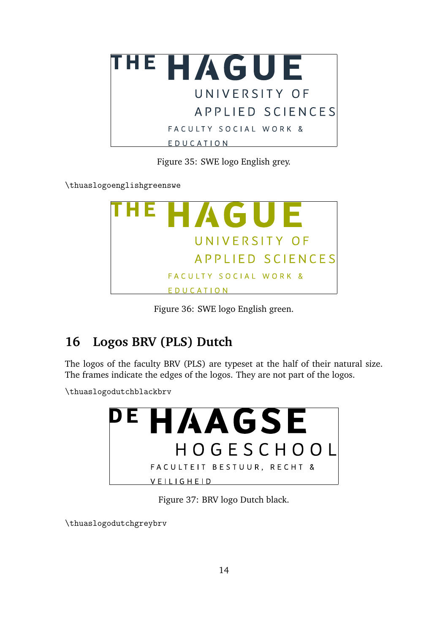

Figure 35: SWE logo English grey.

\thuaslogoenglishgreenswe



Figure 36: SWE logo English green.

### **16 Logos BRV (PLS) Dutch**

The logos of the faculty BRV (PLS) are typeset at the half of their natural size. The frames indicate the edges of the logos. They are not part of the logos.

\thuaslogodutchblackbrv



Figure 37: BRV logo Dutch black.

\thuaslogodutchgreybrv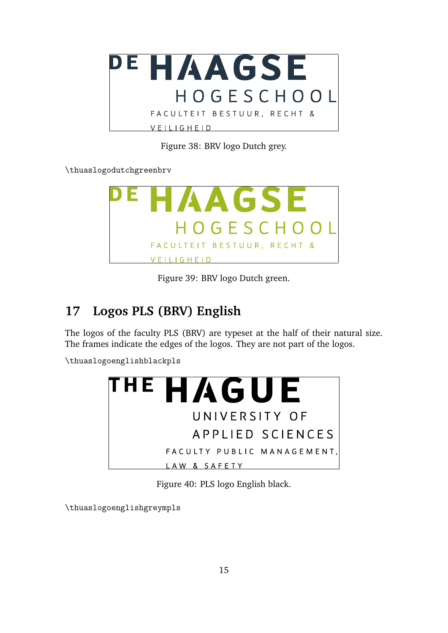

Figure 38: BRV logo Dutch grey.

\thuaslogodutchgreenbrv



Figure 39: BRV logo Dutch green.

#### **17 Logos PLS (BRV) English**

The logos of the faculty PLS (BRV) are typeset at the half of their natural size. The frames indicate the edges of the logos. They are not part of the logos.

\thuaslogoenglishblackpls



Figure 40: PLS logo English black.

\thuaslogoenglishgreympls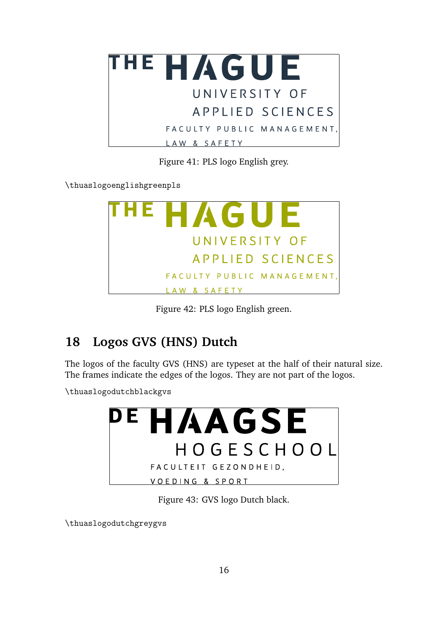

Figure 41: PLS logo English grey.

\thuaslogoenglishgreenpls



Figure 42: PLS logo English green.

### **18 Logos GVS (HNS) Dutch**

The logos of the faculty GVS (HNS) are typeset at the half of their natural size. The frames indicate the edges of the logos. They are not part of the logos.

\thuaslogodutchblackgvs



Figure 43: GVS logo Dutch black.

\thuaslogodutchgreygvs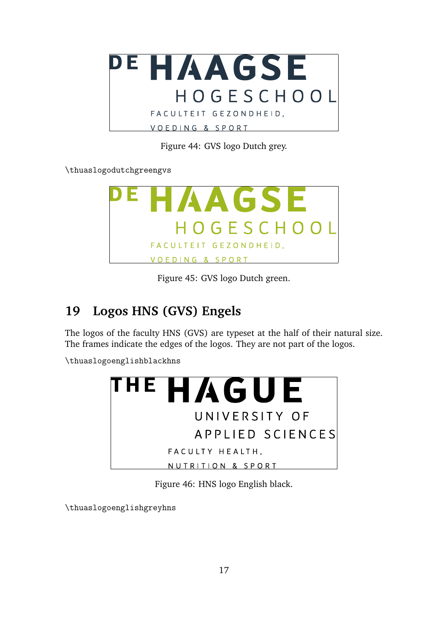

Figure 44: GVS logo Dutch grey.

\thuaslogodutchgreengvs



Figure 45: GVS logo Dutch green.

#### **19 Logos HNS (GVS) Engels**

The logos of the faculty HNS (GVS) are typeset at the half of their natural size. The frames indicate the edges of the logos. They are not part of the logos.

\thuaslogoenglishblackhns



Figure 46: HNS logo English black.

\thuaslogoenglishgreyhns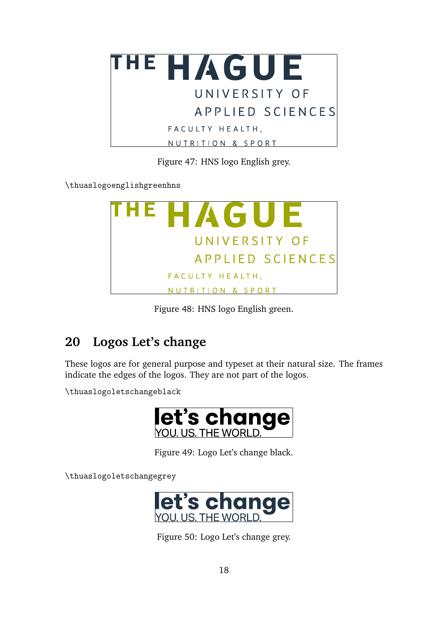

Figure 47: HNS logo English grey.

\thuaslogoenglishgreenhns



Figure 48: HNS logo English green.

## **20 Logos Let's change**

These logos are for general purpose and typeset at their natural size. The frames indicate the edges of the logos. They are not part of the logos.

\thuaslogoletschangeblack



Figure 49: Logo Let's change black.

\thuaslogoletschangegrey



Figure 50: Logo Let's change grey.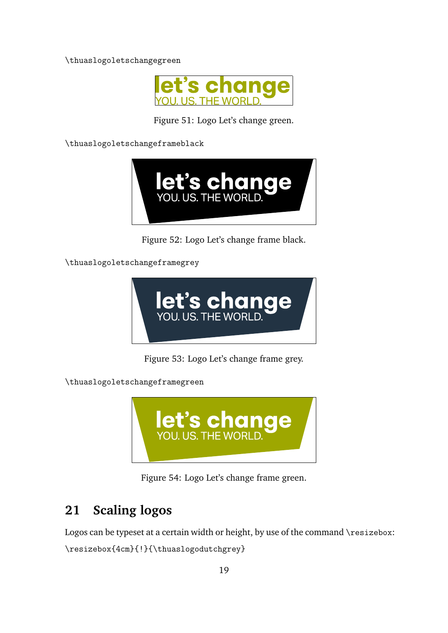\thuaslogoletschangegreen



Figure 51: Logo Let's change green.

\thuaslogoletschangeframeblack



Figure 52: Logo Let's change frame black.

\thuaslogoletschangeframegrey



Figure 53: Logo Let's change frame grey.

\thuaslogoletschangeframegreen



Figure 54: Logo Let's change frame green.

### **21 Scaling logos**

Logos can be typeset at a certain width or height, by use of the command  $\resize$ izebox:

\resizebox{4cm}{!}{\thuaslogodutchgrey}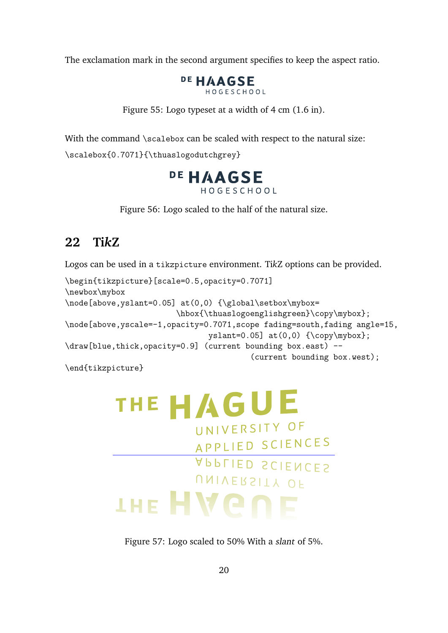The exclamation mark in the second argument specifies to keep the aspect ratio.



Figure 55: Logo typeset at a width of 4 cm (1.6 in).

With the command \scalebox can be scaled with respect to the natural size:

\scalebox{0.7071}{\thuaslogodutchgrey}



Figure 56: Logo scaled to the half of the natural size.

#### **22 Ti***k***Z**

Logos can be used in a tikzpicture environment. Ti*k*Z options can be provided.

```
\begin{tikzpicture}[scale=0.5,opacity=0.7071]
\newbox\mybox
\node[above,yslant=0.05] at(0,0) {\global\setbox\mybox=
                        \hbox{\thuaslogoenglishgreen}\copy\mybox};
\node[above,yscale=-1,opacity=0.7071,scope fading=south,fading angle=15,
                               yslant=0.05] at(0,0) {\text{copy\mybox}};\draw[blue,thick,opacity=0.9] (current bounding box.east) --
                                         (current bounding box.west);
```
\end{tikzpicture}

## THE HAGUE UNIVERSITY OF APPLIED SCIENCES APPLIED SCIENCES UNIVERSITY OF **IHE HVONE**

Figure 57: Logo scaled to 50% With a slant of 5%.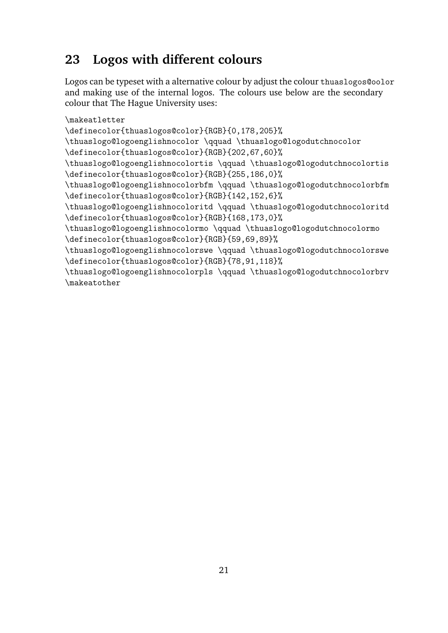#### **23 Logos with different colours**

Logos can be typeset with a alternative colour by adjust the colour thuaslogos@oolor and making use of the internal logos. The colours use below are the secondary colour that The Hague University uses:

```
\makeatletter
\definecolor{thuaslogos@color}{RGB}{0,178,205}%
\thuaslogo@logoenglishnocolor \qquad \thuaslogo@logodutchnocolor
\definecolor{thuaslogos@color}{RGB}{202,67,60}%
\thuaslogo@logoenglishnocolortis \qquad \thuaslogo@logodutchnocolortis
\definecolor{thuaslogos@color}{RGB}{255,186,0}%
\thuaslogo@logoenglishnocolorbfm \qquad \thuaslogo@logodutchnocolorbfm
\definecolor{thuaslogos@color}{RGB}{142,152,6}%
\thuaslogo@logoenglishnocoloritd \qquad \thuaslogo@logodutchnocoloritd
\definecolor{thuaslogos@color}{RGB}{168,173,0}%
\thuaslogo@logoenglishnocolormo \qquad \thuaslogo@logodutchnocolormo
\definecolor{thuaslogos@color}{RGB}{59,69,89}%
\thuaslogo@logoenglishnocolorswe \qquad \thuaslogo@logodutchnocolorswe
\definecolor{thuaslogos@color}{RGB}{78,91,118}%
\thuaslogo@logoenglishnocolorpls \qquad \thuaslogo@logodutchnocolorbrv
\makeatother
```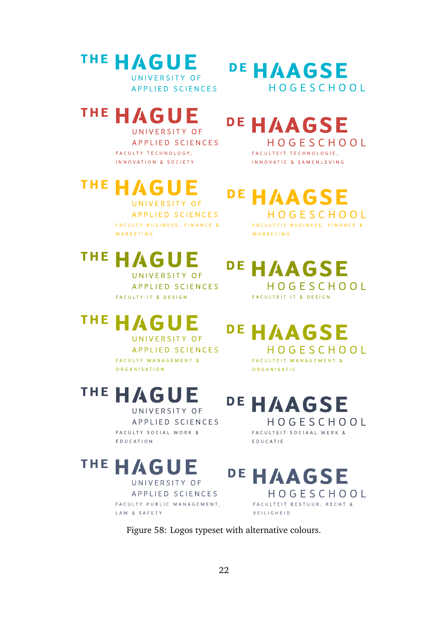#### **THE HAGUE** UNIVERSITY OF

**APPLIED SCIENCES** 

#### THE HAGU F

UNIVERSITY OF APPLIED SCIENCES FACULTY TECHNOLOGY, INNOVATION & SOCIETY

### THE. UNIVERSITY OF

**APPLIED SCIENCES** FACULTY BUSINESS, FINANCE & MARKETING

# THE HAGU

UNIVERSITY OF **APPLIED SCIENCES** FACULTY IT & DESIGN

#### THE. AG

UNIVERSITY OF APPLIED SCIENCES FACULTY MANAGEMENT & ORGANISATION

# THE HAGUE

UNIVERSITY OF APPLIED SCIENCES FACULTY SOCIAL WORK & EDUCATION

#### THE HAGUE

UNIVERSITY OF **APPLIED SCIENCES** FACULTY PUBLIC MANAGEMENT, LAW & SAFETY

## DE HAAGSE HOGFSCHOOL

# DE HAAGSE

HOGESCHOOL FACULTEIT TECHNOLOGIE, INNOVATIE & SAMENLEVING

# DE HAAGSE

HOGESCHOOL FACULTEIT BUSINESS, FINANCE & MARKETING

#### DE HAAGSE HOGESCHOOL

FACULTEIT IT & DESIGN

# DE HAAGSE

HOGESCHOOL FACULTEIT MANAGEMENT & ORGANISATIE

### DE HAAGSE HOGESCHOOL

FACULTEIT SOCIAAL WERK & EDUCATIE

#### DE HAAGSE HOGESCHOOL FACULTEIT BESTUUR, RECHT & VEILIGHEID

Figure 58: Logos typeset with alternative colours.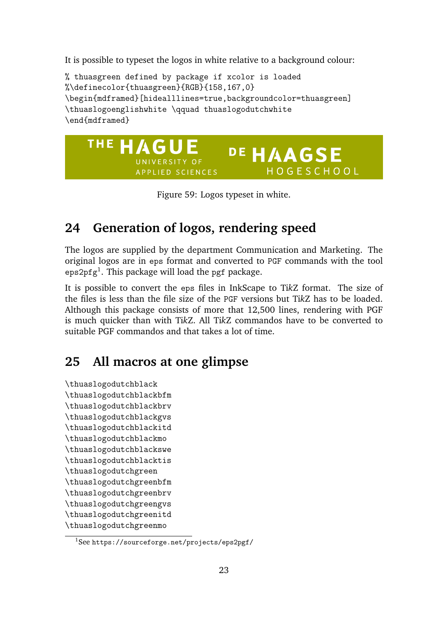It is possible to typeset the logos in white relative to a background colour:

% thuasgreen defined by package if xcolor is loaded %\definecolor{thuasgreen}{RGB}{158,167,0} \begin{mdframed}[hidealllines=true,backgroundcolor=thuasgreen] \thuaslogoenglishwhite \qquad thuaslogodutchwhite \end{mdframed}



Figure 59: Logos typeset in white.

#### **24 Generation of logos, rendering speed**

The logos are supplied by the department Communication and Marketing. The original logos are in eps format and converted to PGF commands with the tool  $\mathtt{eps2pfg^1}.$  This package will load the  $\mathtt{pgf}$  package.

It is possible to convert the eps files in InkScape to Ti*k*Z format. The size of the files is less than the file size of the PGF versions but Ti*k*Z has to be loaded. Although this package consists of more that 12,500 lines, rendering with PGF is much quicker than with Ti*k*Z. All Ti*k*Z commandos have to be converted to suitable PGF commandos and that takes a lot of time.

#### **25 All macros at one glimpse**

\thuaslogodutchblack \thuaslogodutchblackbfm \thuaslogodutchblackbrv \thuaslogodutchblackgvs \thuaslogodutchblackitd \thuaslogodutchblackmo \thuaslogodutchblackswe \thuaslogodutchblacktis \thuaslogodutchgreen \thuaslogodutchgreenbfm \thuaslogodutchgreenbrv \thuaslogodutchgreengvs \thuaslogodutchgreenitd \thuaslogodutchgreenmo

<sup>1</sup>See https://sourceforge.net/projects/eps2pgf/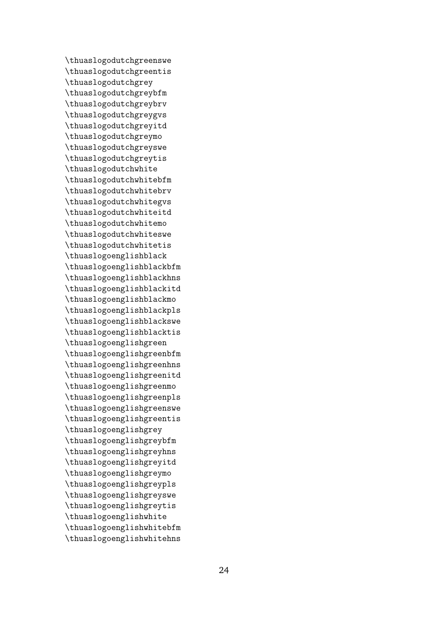\thuaslogodutchgreenswe \thuaslogodutchgreentis \thuaslogodutchgrey \thuaslogodutchgreybfm \thuaslogodutchgreybrv \thuaslogodutchgreygvs \thuaslogodutchgreyitd \thuaslogodutchgreymo \thuaslogodutchgreyswe \thuaslogodutchgreytis \thuaslogodutchwhite \thuaslogodutchwhitebfm \thuaslogodutchwhitebrv \thuaslogodutchwhitegvs \thuaslogodutchwhiteitd \thuaslogodutchwhitemo \thuaslogodutchwhiteswe \thuaslogodutchwhitetis \thuaslogoenglishblack \thuaslogoenglishblackbfm \thuaslogoenglishblackhns \thuaslogoenglishblackitd \thuaslogoenglishblackmo \thuaslogoenglishblackpls \thuaslogoenglishblackswe \thuaslogoenglishblacktis \thuaslogoenglishgreen \thuaslogoenglishgreenbfm \thuaslogoenglishgreenhns \thuaslogoenglishgreenitd \thuaslogoenglishgreenmo \thuaslogoenglishgreenpls \thuaslogoenglishgreenswe \thuaslogoenglishgreentis \thuaslogoenglishgrey \thuaslogoenglishgreybfm \thuaslogoenglishgreyhns \thuaslogoenglishgreyitd \thuaslogoenglishgreymo \thuaslogoenglishgreypls \thuaslogoenglishgreyswe \thuaslogoenglishgreytis \thuaslogoenglishwhite \thuaslogoenglishwhitebfm \thuaslogoenglishwhitehns